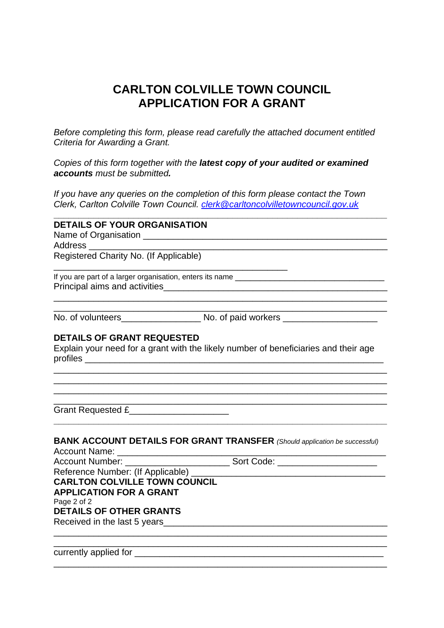## **CARLTON COLVILLE TOWN COUNCIL APPLICATION FOR A GRANT**

*Before completing this form, please read carefully the attached document entitled Criteria for Awarding a Grant.* 

*Copies of this form together with the latest copy of your audited or examined accounts must be submitted.* 

*If you have any queries on the completion of this form please contact the Town Clerk, Carlton Colville Town Council. clerk@carltoncolvilletowncouncil.gov.uk*

| <b>DETAILS OF YOUR ORGANISATION</b>                                                                                  |                                                                                     |
|----------------------------------------------------------------------------------------------------------------------|-------------------------------------------------------------------------------------|
|                                                                                                                      |                                                                                     |
| Address ________________                                                                                             |                                                                                     |
| Registered Charity No. (If Applicable)                                                                               |                                                                                     |
|                                                                                                                      |                                                                                     |
|                                                                                                                      |                                                                                     |
|                                                                                                                      |                                                                                     |
| <u> 2000 - Jan James James Jan James James Jan James James James James James James James James James James James</u> |                                                                                     |
|                                                                                                                      |                                                                                     |
| <b>DETAILS OF GRANT REQUESTED</b>                                                                                    |                                                                                     |
|                                                                                                                      | Explain your need for a grant with the likely number of beneficiaries and their age |
|                                                                                                                      |                                                                                     |
|                                                                                                                      |                                                                                     |
|                                                                                                                      |                                                                                     |
| Grant Requested £                                                                                                    |                                                                                     |
|                                                                                                                      |                                                                                     |
| <b>Account Name:</b>                                                                                                 | <b>BANK ACCOUNT DETAILS FOR GRANT TRANSFER</b> (Should application be successful)   |
|                                                                                                                      | Account Number: _________________________________Sort Code: ____________________    |
| Reference Number: (If Applicable) ___                                                                                |                                                                                     |
| <b>CARLTON COLVILLE TOWN COUNCIL</b>                                                                                 |                                                                                     |
| <b>APPLICATION FOR A GRANT</b>                                                                                       |                                                                                     |
| Page 2 of 2                                                                                                          |                                                                                     |
| <b>DETAILS OF OTHER GRANTS</b>                                                                                       |                                                                                     |
| Received in the last 5 years                                                                                         |                                                                                     |
|                                                                                                                      |                                                                                     |
|                                                                                                                      |                                                                                     |

\_\_\_\_\_\_\_\_\_\_\_\_\_\_\_\_\_\_\_\_\_\_\_\_\_\_\_\_\_\_\_\_\_\_\_\_\_\_\_\_\_\_\_\_\_\_\_\_\_\_\_\_\_\_\_\_\_\_\_\_\_\_\_\_\_\_\_

currently applied for \_\_\_\_\_\_\_\_\_\_\_\_\_\_\_\_\_\_\_\_\_\_\_\_\_\_\_\_\_\_\_\_\_\_\_\_\_\_\_\_\_\_\_\_\_\_\_\_\_\_